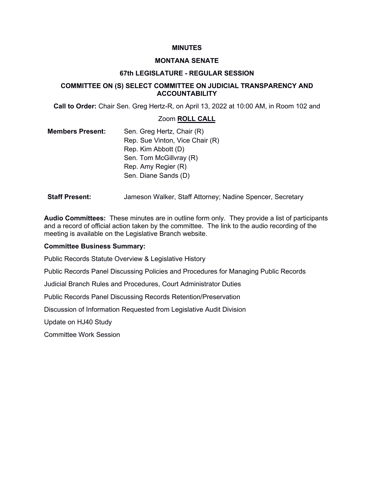#### **MINUTES**

#### **MONTANA SENATE**

#### **67th LEGISLATURE - REGULAR SESSION**

### **COMMITTEE ON (S) SELECT COMMITTEE ON JUDICIAL TRANSPARENCY AND ACCOUNTABILITY**

**Call to Order:** Chair Sen. Greg Hertz-R, on April 13, 2022 at 10:00 AM, in Room 102 and

#### Zoom **ROLL CALL**

- **Members Present:** Sen. Greg Hertz, Chair (R) Rep. Sue Vinton, Vice Chair (R) Rep. Kim Abbott (D) Sen. Tom McGillvray (R) Rep. Amy Regier (R) Sen. Diane Sands (D)
- **Staff Present:** Jameson Walker, Staff Attorney; Nadine Spencer, Secretary

**Audio Committees:** These minutes are in outline form only. They provide a list of participants and a record of official action taken by the committee. The link to the audio recording of the meeting is available on the Legislative Branch website.

#### **Committee Business Summary:**

Public Records Statute Overview & Legislative History

Public Records Panel Discussing Policies and Procedures for Managing Public Records

Judicial Branch Rules and Procedures, Court Administrator Duties

Public Records Panel Discussing Records Retention/Preservation

Discussion of Information Requested from Legislative Audit Division

Update on HJ40 Study

Committee Work Session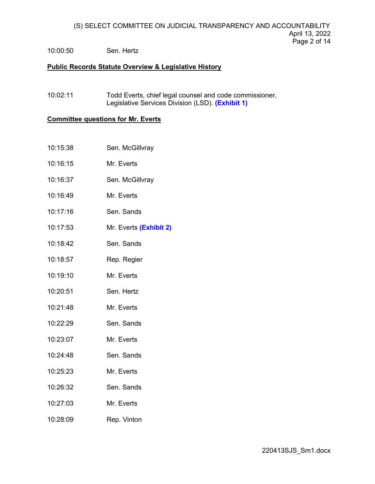## 10:00:50 Sen. Hertz

### **Public Records Statute Overview & Legislative History**

10:02:11 Todd Everts, chief legal counsel and code commissioner, Legislative Services Divi[sion \(LSD\).](https://leg.mt.gov/content/Committees/JointSlctJudical/April-13-2022/Exhibit1.pdf) **(Exhibit 1)**

# **Committee questions for Mr. Everts**

- 10:15:38 Sen. McGillvray
- 10:16:15 Mr. Everts
- 10:16:37 Sen. McGillvray
- 10:16:49 Mr. Everts
- 10:17:16 Sen. Sands
- 10:17:53 Mr. Everts **[\(Exhibit 2\)](https://leg.mt.gov/content/Committees/JointSlctJudical/April-13-2022/Exhibit2.pdf)**
- 10:18:42 Sen. Sands
- 10:18:57 Rep. Regier
- 10:19:10 Mr. Everts
- 10:20:51 Sen. Hertz
- 10:21:48 Mr. Everts
- 10:22:29 Sen. Sands
- 10:23:07 Mr. Everts
- 10:24:48 Sen. Sands
- 10:25:23 Mr. Everts
- 10:26:32 Sen. Sands
- 10:27:03 Mr. Everts
- 10:28:09 Rep. Vinton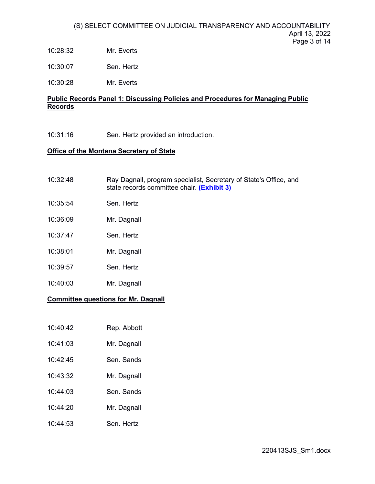10:28:32 Mr. Everts

10:30:07 Sen. Hertz

10:30:28 Mr. Everts

## **Public Records Panel 1: Discussing Policies and Procedures for Managing Public Records**

10:31:16 Sen. Hertz provided an introduction.

### **Office of the Montana Secretary of State**

| <b>Committee questions for Mr. Dagnall</b> |                                                                                                                 |  |
|--------------------------------------------|-----------------------------------------------------------------------------------------------------------------|--|
| 10:40:03                                   | Mr. Dagnall                                                                                                     |  |
| 10:39:57                                   | Sen. Hertz                                                                                                      |  |
| 10:38:01                                   | Mr. Dagnall                                                                                                     |  |
| 10:37:47                                   | Sen. Hertz                                                                                                      |  |
| 10:36:09                                   | Mr. Dagnall                                                                                                     |  |
| 10:35:54                                   | Sen. Hertz                                                                                                      |  |
| 10:32:48                                   | Ray Dagnall, program specialist, Secretary of State's Office, and<br>state records committee chair. (Exhibit 3) |  |

| 10:40:42 | Rep. Abbott |
|----------|-------------|

| 10:41:03 | Mr. Dagnall |
|----------|-------------|
|----------|-------------|

- 10:42:45 Sen. Sands
- 10:43:32 Mr. Dagnall
- 10:44:03 Sen. Sands
- 10:44:20 Mr. Dagnall
- 10:44:53 Sen. Hertz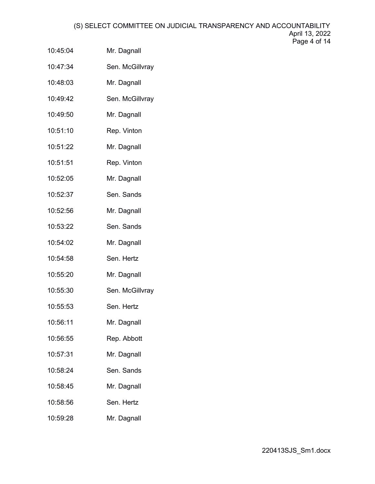- 10:45:04 Mr. Dagnall
- 10:47:34 Sen. McGillvray
- 10:48:03 Mr. Dagnall
- 10:49:42 Sen. McGillvray
- 10:49:50 Mr. Dagnall
- 10:51:10 Rep. Vinton
- 10:51:22 Mr. Dagnall
- 10:51:51 Rep. Vinton
- 10:52:05 Mr. Dagnall
- 10:52:37 Sen. Sands
- 10:52:56 Mr. Dagnall
- 10:53:22 Sen. Sands
- 10:54:02 Mr. Dagnall
- 10:54:58 Sen. Hertz
- 10:55:20 Mr. Dagnall
- 10:55:30 Sen. McGillvray
- 10:55:53 Sen. Hertz
- 10:56:11 Mr. Dagnall
- 10:56:55 Rep. Abbott
- 10:57:31 Mr. Dagnall
- 10:58:24 Sen. Sands
- 10:58:45 Mr. Dagnall
- 10:58:56 Sen. Hertz
- 10:59:28 Mr. Dagnall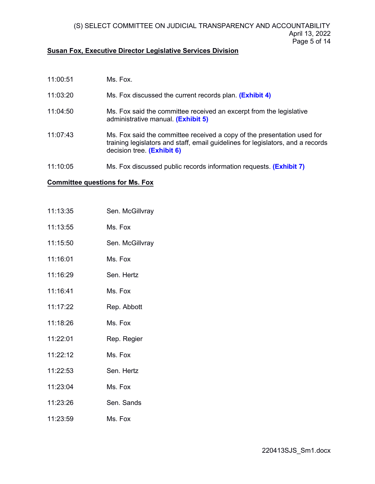#### **Susan Fox, Executive Director Legislative Services Division**

- 11:00:51 Ms. Fox.
- $11:03:20$ Ms. Fox discussed the current records plan. **[\(Exhibit 4\)](https://leg.mt.gov/content/Committees/JointSlctJudical/April-13-2022/Records-procedures_FINAL DOCUMENT.pdf)**
- 11:04:50 Ms. Fox said the committee received an excerpt from the legislative administrative manual. **[\(Exhibit 5\)](https://leg.mt.gov/content/Committees/JointSlctJudical/April-13-2022/Pages from Admin Manual Final  2_2022.pdf)**
- 11:07:43 Ms. Fox said the committee received a copy of the presentation used for training legislators and staff, email guidelines for legislators, and a records decision tree. **[\(Exhibit 6\)](https://leg.mt.gov/content/Committees/JointSlctJudical/April-13-2022/Exhibit6.pdf)**
- 11:10:05 Ms. Fox discussed public records information requests. **[\(Exhibit 7\)](https://leg.mt.gov/content/Committees/JointSlctJudical/April-13-2022/2022LOG_3_30_22.pdf)**

#### **Committee questions for Ms. Fox**

- 11:13:35 Sen. McGillvray
- 11:13:55 Ms. Fox
- 11:15:50 Sen. McGillvray
- 11:16:01 Ms. Fox
- 11:16:29 Sen. Hertz
- 11:16:41 Ms. Fox
- 11:17:22 Rep. Abbott
- 11:18:26 Ms. Fox
- 11:22:01 Rep. Regier
- 11:22:12 Ms. Fox
- 11:22:53 Sen. Hertz
- 11:23:04 Ms. Fox
- 11:23:26 Sen. Sands
- 11:23:59 Ms. Fox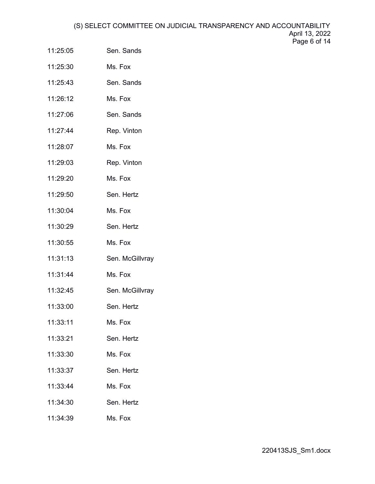- 11:25:05 Sen. Sands
- 11:25:30 Ms. Fox
- 11:25:43 Sen. Sands
- 11:26:12 Ms. Fox
- 11:27:06 Sen. Sands
- 11:27:44 Rep. Vinton
- 11:28:07 Ms. Fox
- 11:29:03 Rep. Vinton
- 11:29:20 Ms. Fox
- 11:29:50 Sen. Hertz
- 11:30:04 Ms. Fox
- 11:30:29 Sen. Hertz
- 11:30:55 Ms. Fox
- 11:31:13 Sen. McGillvray
- 11:31:44 Ms. Fox
- 11:32:45 Sen. McGillvray
- 11:33:00 Sen. Hertz
- 11:33:11 Ms. Fox
- 11:33:21 Sen. Hertz
- 11:33:30 Ms. Fox
- 11:33:37 Sen. Hertz
- 11:33:44 Ms. Fox
- 11:34:30 Sen. Hertz
- 11:34:39 Ms. Fox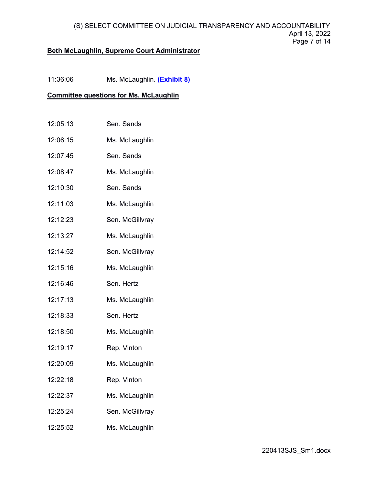### **Beth McLaughlin, Supreme Court Administrator**

11:36:06 Ms. McLaughlin. **[\(Exhibit 8\)](https://leg.mt.gov/content/Committees/JointSlctJudical/April-13-2022/Judicial-Branch-Production-to-Committee.pdf)**

### **Committee questions for Ms. McLaughlin**

- 12:05:13 Sen. Sands
- 12:06:15 Ms. McLaughlin
- 12:07:45 Sen. Sands
- 12:08:47 Ms. McLaughlin
- 12:10:30 Sen. Sands
- 12:11:03 Ms. McLaughlin
- 12:12:23 Sen. McGillvray
- 12:13:27 Ms. McLaughlin
- 12:14:52 Sen. McGillvray
- 12:15:16 Ms. McLaughlin
- 12:16:46 Sen. Hertz
- 12:17:13 Ms. McLaughlin
- 12:18:33 Sen. Hertz
- 12:18:50 Ms. McLaughlin
- 12:19:17 Rep. Vinton
- 12:20:09 Ms. McLaughlin
- 12:22:18 Rep. Vinton
- 12:22:37 Ms. McLaughlin
- 12:25:24 Sen. McGillvray
- 12:25:52 Ms. McLaughlin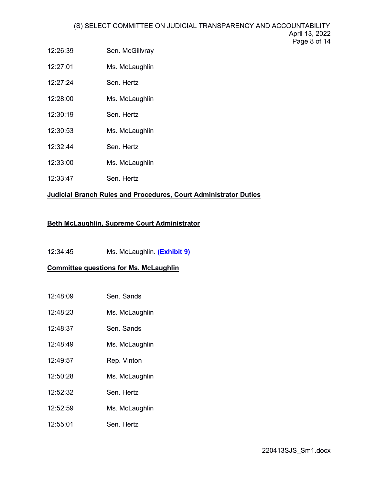- 12:26:39 Sen. McGillvray
- 12:27:01 Ms. McLaughlin
- 12:27:24 Sen. Hertz
- 12:28:00 Ms. McLaughlin
- 12:30:19 Sen. Hertz
- 12:30:53 Ms. McLaughlin
- 12:32:44 Sen. Hertz
- 12:33:00 Ms. McLaughlin
- 12:33:47 Sen. Hertz

# **Judicial Branch Rules and Procedures, Court Administrator Duties**

# **Beth McLaughlin, Supreme Court Administrator**

12:34:45 Ms. McLaughlin. **[\(Exhibit 9\)](https://leg.mt.gov/content/Committees/JointSlctJudical/April-13-2022/McLaughlin.pdf)**

# **Committee questions for Ms. McLaughlin**

- 12:48:09 Sen. Sands
- 12:48:23 Ms. McLaughlin
- 12:48:37 Sen. Sands
- 12:48:49 Ms. McLaughlin
- 12:49:57 Rep. Vinton
- 12:50:28 Ms. McLaughlin
- 12:52:32 Sen. Hertz
- 12:52:59 Ms. McLaughlin
- 12:55:01 Sen. Hertz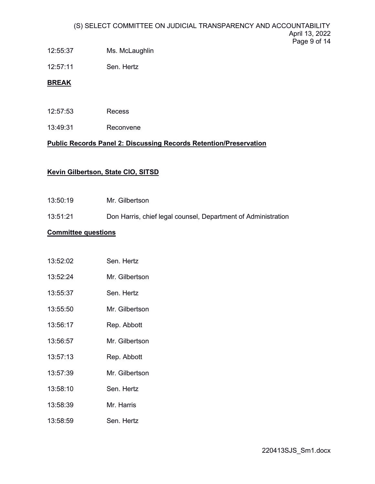- 12:55:37 Ms. McLaughlin
- 12:57:11 Sen. Hertz

## **BREAK**

- 12:57:53 Recess
- 13:49:31 Reconvene

## **Public Records Panel 2: Discussing Records Retention/Preservation**

## **Kevin Gilbertson, State CIO, SITSD**

- 13:50:19 Mr. Gilbertson
- 13:51:21 Don Harris, chief legal counsel, Department of Administration

### **Committee questions**

| 13:52:02 | Sen. Hertz     |
|----------|----------------|
| 13:52:24 | Mr. Gilbertson |

- 13:55:37 Sen. Hertz
- 13:55:50 Mr. Gilbertson
- 13:56:17 Rep. Abbott
- 13:56:57 Mr. Gilbertson
- 13:57:13 Rep. Abbott
- 13:57:39 Mr. Gilbertson
- 13:58:10 Sen. Hertz
- 13:58:39 Mr. Harris
- 13:58:59 Sen. Hertz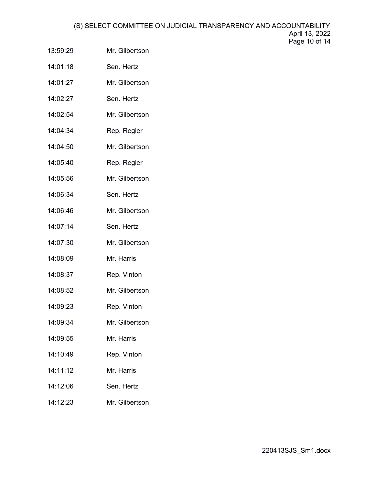- 13:59:29 Mr. Gilbertson
- 14:01:18 Sen. Hertz
- 14:01:27 Mr. Gilbertson
- 14:02:27 Sen. Hertz
- 14:02:54 Mr. Gilbertson
- 14:04:34 Rep. Regier
- 14:04:50 Mr. Gilbertson
- 14:05:40 Rep. Regier
- 14:05:56 Mr. Gilbertson
- 14:06:34 Sen. Hertz
- 14:06:46 Mr. Gilbertson
- 14:07:14 Sen. Hertz
- 14:07:30 Mr. Gilbertson
- 14:08:09 Mr. Harris
- 14:08:37 Rep. Vinton
- 14:08:52 Mr. Gilbertson
- 14:09:23 Rep. Vinton
- 14:09:34 Mr. Gilbertson
- 14:09:55 Mr. Harris
- 14:10:49 Rep. Vinton
- 14:11:12 Mr. Harris
- 14:12:06 Sen. Hertz
- 14:12:23 Mr. Gilbertson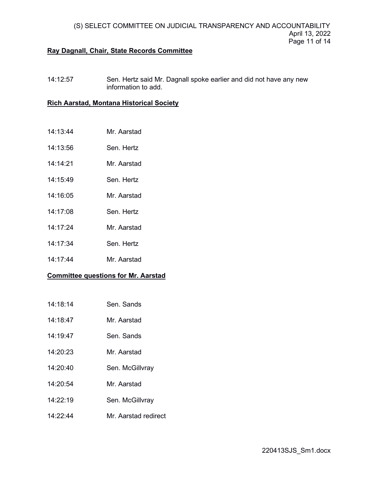### **Ray Dagnall, Chair, State Records Committee**

14:12:57 Sen. Hertz said Mr. Dagnall spoke earlier and did not have any new information to add.

#### **Rich Aarstad, Montana Historical Society**

- 14:13:44 Mr. Aarstad
- 14:13:56 Sen. Hertz
- 14:14:21 Mr. Aarstad
- 14:15:49 Sen. Hertz
- 14:16:05 Mr. Aarstad
- 14:17:08 Sen. Hertz
- 14:17:24 Mr. Aarstad
- 14:17:34 Sen. Hertz
- 14:17:44 Mr. Aarstad

### **Committee questions for Mr. Aarstad**

- 14:18:14 Sen. Sands
- 14:18:47 Mr. Aarstad
- 14:19:47 Sen. Sands
- 14:20:23 Mr. Aarstad
- 14:20:40 Sen. McGillvray
- 14:20:54 Mr. Aarstad
- 14:22:19 Sen. McGillvray
- 14:22:44 Mr. Aarstad redirect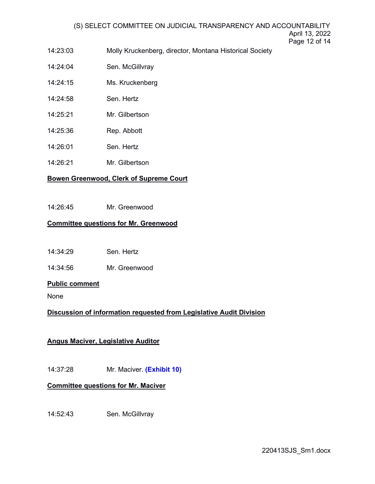- 14:23:03 Molly Kruckenberg, director, Montana Historical Society
- 14:24:04 Sen. McGillvray
- 14:24:15 Ms. Kruckenberg
- 14:24:58 Sen. Hertz
- 14:25:21 Mr. Gilbertson
- 14:25:36 Rep. Abbott
- 14:26:01 Sen. Hertz
- 14:26:21 Mr. Gilbertson

# **Bowen Greenwood, Clerk of Supreme Court**

14:26:45 Mr. Greenwood

## **Committee questions for Mr. Greenwood**

14:34:29 Sen. Hertz

14:34:56 Mr. Greenwood

### **Public comment**

None

# **Discussion of information requested from Legislative Audit Division**

# **Angus Maciver, Legislative Auditor**

14:37:28 Mr. Maciver. **[\(Exhibit 10\)](https://leg.mt.gov/content/Committees/JointSlctJudical/April-13-2022/Maciver.pdf)**

# **Committee questions for Mr. Maciver**

14:52:43 Sen. McGillvray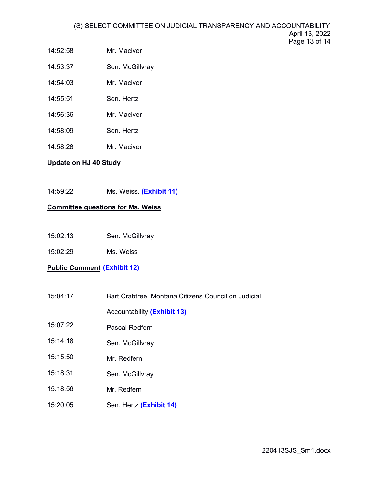- 14:52:58 Mr. Maciver
- 14:53:37 Sen. McGillvray
- 14:54:03 Mr. Maciver
- 14:55:51 Sen. Hertz
- 14:56:36 Mr. Maciver
- 14:58:09 Sen. Hertz
- 14:58:28 Mr. Maciver

## **Update on HJ 40 Study**

14:59:22 Ms. Weiss. **[\(Exhibit 11\)](https://leg.mt.gov/content/Committees/JointSlctJudical/April-13-2022/hj40-ljic-update-april-2022.pdf)**

## **Committee questions for Ms. Weiss**

- 15:02:13 Sen. McGillvray
- 15:02:29 Ms. Weiss

# **Public Comment [\(Exhibit 12\)](https://leg.mt.gov/content/Committees/JointSlctJudical/April-13-2022/Exhibit12.pdf)**

- 15:04:17 Bart Crabtree, Montana Citizens Council on Judicial
	- Accountability **[\(Exhibit](https://leg.mt.gov/content/Committees/JointSlctJudical/April-13-2022/Crabtree-exhibit.pdf) 13)**
- 15:07:22 Pascal Redfern
- 15:14:18 Sen. McGillvray
- 15:15:50 Mr. Redfern
- 15:18:31 Sen. McGillvray
- 15:18:56 Mr. Redfern
- 15:20:05 Sen. Hertz **[\(Exhibit 1](https://leg.mt.gov/content/Committees/JointSlctJudical/April-13-2022/Howard-exhibit.pdf)4)**